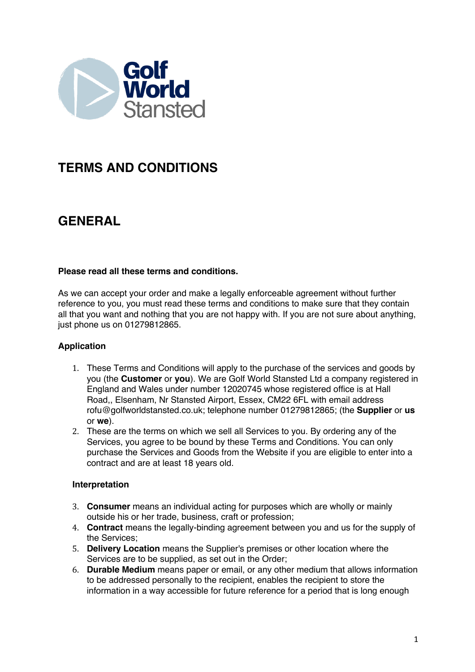

# **TERMS AND CONDITIONS**

# **GENERAL**

## **Please read all these terms and conditions.**

As we can accept your order and make a legally enforceable agreement without further reference to you, you must read these terms and conditions to make sure that they contain all that you want and nothing that you are not happy with. If you are not sure about anything, just phone us on 01279812865.

## **Application**

- 1. These Terms and Conditions will apply to the purchase of the services and goods by you (the **Customer** or **you**). We are Golf World Stansted Ltd a company registered in England and Wales under number 12020745 whose registered office is at Hall Road,, Elsenham, Nr Stansted Airport, Essex, CM22 6FL with email address rofu@golfworldstansted.co.uk; telephone number 01279812865; (the **Supplier** or **us**  or **we**).
- 2. These are the terms on which we sell all Services to you. By ordering any of the Services, you agree to be bound by these Terms and Conditions. You can only purchase the Services and Goods from the Website if you are eligible to enter into a contract and are at least 18 years old.

## **Interpretation**

- 3. **Consumer** means an individual acting for purposes which are wholly or mainly outside his or her trade, business, craft or profession;
- 4. **Contract** means the legally-binding agreement between you and us for the supply of the Services;
- 5. **Delivery Location** means the Supplier's premises or other location where the Services are to be supplied, as set out in the Order;
- 6. **Durable Medium** means paper or email, or any other medium that allows information to be addressed personally to the recipient, enables the recipient to store the information in a way accessible for future reference for a period that is long enough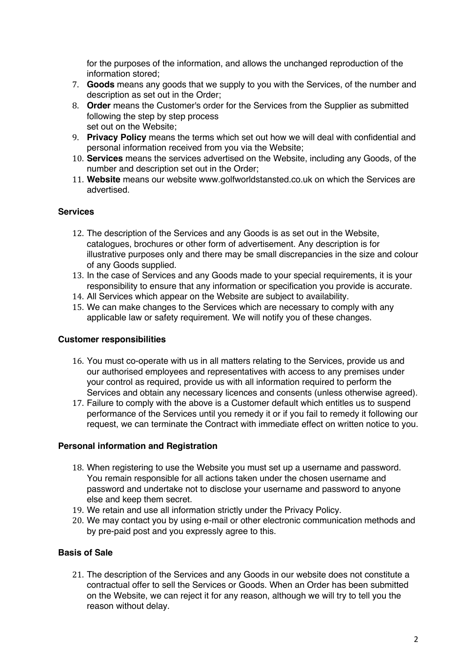for the purposes of the information, and allows the unchanged reproduction of the information stored;

- 7. **Goods** means any goods that we supply to you with the Services, of the number and description as set out in the Order;
- 8. **Order** means the Customer's order for the Services from the Supplier as submitted following the step by step process set out on the Website;
- 9. **Privacy Policy** means the terms which set out how we will deal with confidential and personal information received from you via the Website;
- 10. **Services** means the services advertised on the Website, including any Goods, of the number and description set out in the Order;
- 11. **Website** means our website www.golfworldstansted.co.uk on which the Services are advertised.

## **Services**

- 12. The description of the Services and any Goods is as set out in the Website, catalogues, brochures or other form of advertisement. Any description is for illustrative purposes only and there may be small discrepancies in the size and colour of any Goods supplied.
- 13. In the case of Services and any Goods made to your special requirements, it is your responsibility to ensure that any information or specification you provide is accurate.
- 14. All Services which appear on the Website are subject to availability.
- 15. We can make changes to the Services which are necessary to comply with any applicable law or safety requirement. We will notify you of these changes.

#### **Customer responsibilities**

- 16. You must co-operate with us in all matters relating to the Services, provide us and our authorised employees and representatives with access to any premises under your control as required, provide us with all information required to perform the Services and obtain any necessary licences and consents (unless otherwise agreed).
- 17. Failure to comply with the above is a Customer default which entitles us to suspend performance of the Services until you remedy it or if you fail to remedy it following our request, we can terminate the Contract with immediate effect on written notice to you.

## **Personal information and Registration**

- 18. When registering to use the Website you must set up a username and password. You remain responsible for all actions taken under the chosen username and password and undertake not to disclose your username and password to anyone else and keep them secret.
- 19. We retain and use all information strictly under the Privacy Policy.
- 20. We may contact you by using e-mail or other electronic communication methods and by pre-paid post and you expressly agree to this.

## **Basis of Sale**

21. The description of the Services and any Goods in our website does not constitute a contractual offer to sell the Services or Goods. When an Order has been submitted on the Website, we can reject it for any reason, although we will try to tell you the reason without delay.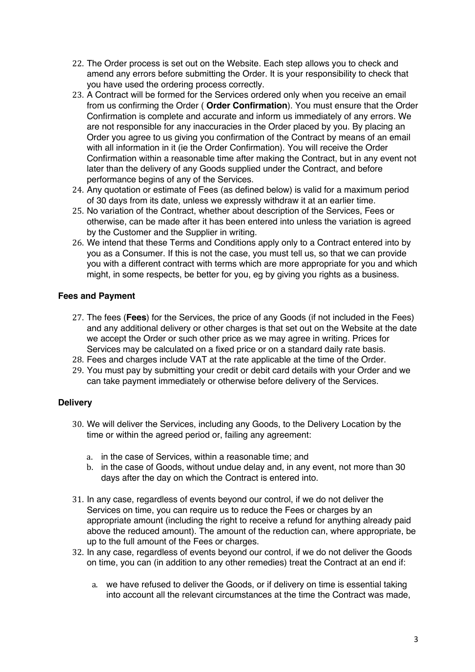- 22. The Order process is set out on the Website. Each step allows you to check and amend any errors before submitting the Order. It is your responsibility to check that you have used the ordering process correctly.
- 23. A Contract will be formed for the Services ordered only when you receive an email from us confirming the Order ( **Order Confirmation**). You must ensure that the Order Confirmation is complete and accurate and inform us immediately of any errors. We are not responsible for any inaccuracies in the Order placed by you. By placing an Order you agree to us giving you confirmation of the Contract by means of an email with all information in it (ie the Order Confirmation). You will receive the Order Confirmation within a reasonable time after making the Contract, but in any event not later than the delivery of any Goods supplied under the Contract, and before performance begins of any of the Services.
- 24. Any quotation or estimate of Fees (as defined below) is valid for a maximum period of 30 days from its date, unless we expressly withdraw it at an earlier time.
- 25. No variation of the Contract, whether about description of the Services, Fees or otherwise, can be made after it has been entered into unless the variation is agreed by the Customer and the Supplier in writing.
- 26. We intend that these Terms and Conditions apply only to a Contract entered into by you as a Consumer. If this is not the case, you must tell us, so that we can provide you with a different contract with terms which are more appropriate for you and which might, in some respects, be better for you, eg by giving you rights as a business.

## **Fees and Payment**

- 27. The fees (**Fees**) for the Services, the price of any Goods (if not included in the Fees) and any additional delivery or other charges is that set out on the Website at the date we accept the Order or such other price as we may agree in writing. Prices for Services may be calculated on a fixed price or on a standard daily rate basis.
- 28. Fees and charges include VAT at the rate applicable at the time of the Order.
- 29. You must pay by submitting your credit or debit card details with your Order and we can take payment immediately or otherwise before delivery of the Services.

## **Delivery**

- 30. We will deliver the Services, including any Goods, to the Delivery Location by the time or within the agreed period or, failing any agreement:
	- a. in the case of Services, within a reasonable time; and
	- b. in the case of Goods, without undue delay and, in any event, not more than 30 days after the day on which the Contract is entered into.
- 31. In any case, regardless of events beyond our control, if we do not deliver the Services on time, you can require us to reduce the Fees or charges by an appropriate amount (including the right to receive a refund for anything already paid above the reduced amount). The amount of the reduction can, where appropriate, be up to the full amount of the Fees or charges.
- 32. In any case, regardless of events beyond our control, if we do not deliver the Goods on time, you can (in addition to any other remedies) treat the Contract at an end if:
	- a. we have refused to deliver the Goods, or if delivery on time is essential taking into account all the relevant circumstances at the time the Contract was made,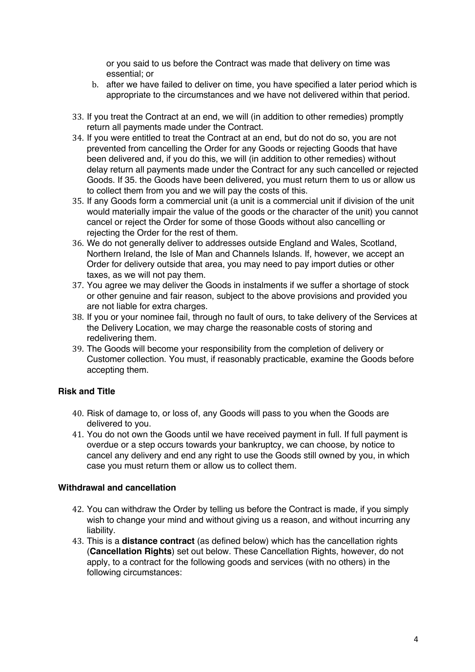or you said to us before the Contract was made that delivery on time was essential; or

- b. after we have failed to deliver on time, you have specified a later period which is appropriate to the circumstances and we have not delivered within that period.
- 33. If you treat the Contract at an end, we will (in addition to other remedies) promptly return all payments made under the Contract.
- 34. If you were entitled to treat the Contract at an end, but do not do so, you are not prevented from cancelling the Order for any Goods or rejecting Goods that have been delivered and, if you do this, we will (in addition to other remedies) without delay return all payments made under the Contract for any such cancelled or rejected Goods. If 35. the Goods have been delivered, you must return them to us or allow us to collect them from you and we will pay the costs of this.
- 35. If any Goods form a commercial unit (a unit is a commercial unit if division of the unit would materially impair the value of the goods or the character of the unit) you cannot cancel or reject the Order for some of those Goods without also cancelling or rejecting the Order for the rest of them.
- 36. We do not generally deliver to addresses outside England and Wales, Scotland, Northern Ireland, the Isle of Man and Channels Islands. If, however, we accept an Order for delivery outside that area, you may need to pay import duties or other taxes, as we will not pay them.
- 37. You agree we may deliver the Goods in instalments if we suffer a shortage of stock or other genuine and fair reason, subject to the above provisions and provided you are not liable for extra charges.
- 38. If you or your nominee fail, through no fault of ours, to take delivery of the Services at the Delivery Location, we may charge the reasonable costs of storing and redelivering them.
- 39. The Goods will become your responsibility from the completion of delivery or Customer collection. You must, if reasonably practicable, examine the Goods before accepting them.

## **Risk and Title**

- 40. Risk of damage to, or loss of, any Goods will pass to you when the Goods are delivered to you.
- 41. You do not own the Goods until we have received payment in full. If full payment is overdue or a step occurs towards your bankruptcy, we can choose, by notice to cancel any delivery and end any right to use the Goods still owned by you, in which case you must return them or allow us to collect them.

#### **Withdrawal and cancellation**

- 42. You can withdraw the Order by telling us before the Contract is made, if you simply wish to change your mind and without giving us a reason, and without incurring any liability.
- 43. This is a **distance contract** (as defined below) which has the cancellation rights (**Cancellation Rights**) set out below. These Cancellation Rights, however, do not apply, to a contract for the following goods and services (with no others) in the following circumstances: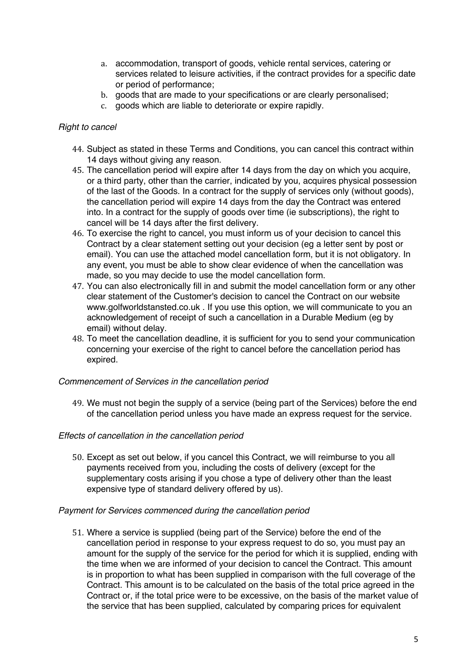- a. accommodation, transport of goods, vehicle rental services, catering or services related to leisure activities, if the contract provides for a specific date or period of performance;
- b. goods that are made to your specifications or are clearly personalised;
- c. goods which are liable to deteriorate or expire rapidly.

#### *Right to cancel*

- 44. Subject as stated in these Terms and Conditions, you can cancel this contract within 14 days without giving any reason.
- 45. The cancellation period will expire after 14 days from the day on which you acquire, or a third party, other than the carrier, indicated by you, acquires physical possession of the last of the Goods. In a contract for the supply of services only (without goods), the cancellation period will expire 14 days from the day the Contract was entered into. In a contract for the supply of goods over time (ie subscriptions), the right to cancel will be 14 days after the first delivery.
- 46. To exercise the right to cancel, you must inform us of your decision to cancel this Contract by a clear statement setting out your decision (eg a letter sent by post or email). You can use the attached model cancellation form, but it is not obligatory. In any event, you must be able to show clear evidence of when the cancellation was made, so you may decide to use the model cancellation form.
- 47. You can also electronically fill in and submit the model cancellation form or any other clear statement of the Customer's decision to cancel the Contract on our website www.golfworldstansted.co.uk . If you use this option, we will communicate to you an acknowledgement of receipt of such a cancellation in a Durable Medium (eg by email) without delay.
- 48. To meet the cancellation deadline, it is sufficient for you to send your communication concerning your exercise of the right to cancel before the cancellation period has expired.

#### *Commencement of Services in the cancellation period*

49. We must not begin the supply of a service (being part of the Services) before the end of the cancellation period unless you have made an express request for the service.

#### *Effects of cancellation in the cancellation period*

50. Except as set out below, if you cancel this Contract, we will reimburse to you all payments received from you, including the costs of delivery (except for the supplementary costs arising if you chose a type of delivery other than the least expensive type of standard delivery offered by us).

#### *Payment for Services commenced during the cancellation period*

51. Where a service is supplied (being part of the Service) before the end of the cancellation period in response to your express request to do so, you must pay an amount for the supply of the service for the period for which it is supplied, ending with the time when we are informed of your decision to cancel the Contract. This amount is in proportion to what has been supplied in comparison with the full coverage of the Contract. This amount is to be calculated on the basis of the total price agreed in the Contract or, if the total price were to be excessive, on the basis of the market value of the service that has been supplied, calculated by comparing prices for equivalent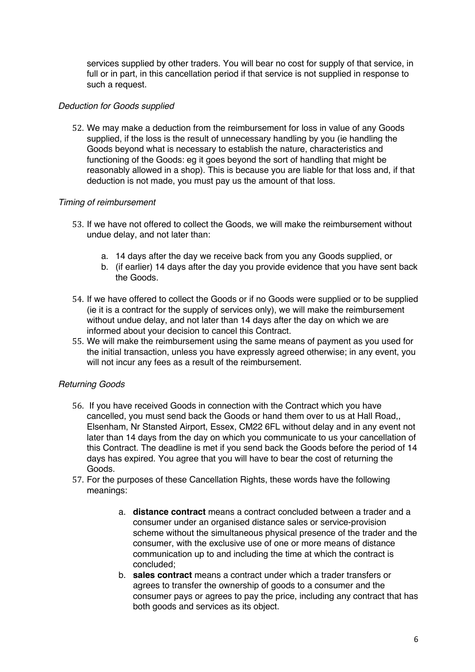services supplied by other traders. You will bear no cost for supply of that service, in full or in part, in this cancellation period if that service is not supplied in response to such a request.

## *Deduction for Goods supplied*

52. We may make a deduction from the reimbursement for loss in value of any Goods supplied, if the loss is the result of unnecessary handling by you (ie handling the Goods beyond what is necessary to establish the nature, characteristics and functioning of the Goods: eg it goes beyond the sort of handling that might be reasonably allowed in a shop). This is because you are liable for that loss and, if that deduction is not made, you must pay us the amount of that loss.

#### *Timing of reimbursement*

- 53. If we have not offered to collect the Goods, we will make the reimbursement without undue delay, and not later than:
	- a. 14 days after the day we receive back from you any Goods supplied, or
	- b. (if earlier) 14 days after the day you provide evidence that you have sent back the Goods.
- 54. If we have offered to collect the Goods or if no Goods were supplied or to be supplied (ie it is a contract for the supply of services only), we will make the reimbursement without undue delay, and not later than 14 days after the day on which we are informed about your decision to cancel this Contract.
- 55. We will make the reimbursement using the same means of payment as you used for the initial transaction, unless you have expressly agreed otherwise; in any event, you will not incur any fees as a result of the reimbursement.

## *Returning Goods*

- 56. If you have received Goods in connection with the Contract which you have cancelled, you must send back the Goods or hand them over to us at Hall Road,, Elsenham, Nr Stansted Airport, Essex, CM22 6FL without delay and in any event not later than 14 days from the day on which you communicate to us your cancellation of this Contract. The deadline is met if you send back the Goods before the period of 14 days has expired. You agree that you will have to bear the cost of returning the Goods.
- 57. For the purposes of these Cancellation Rights, these words have the following meanings:
	- a. **distance contract** means a contract concluded between a trader and a consumer under an organised distance sales or service-provision scheme without the simultaneous physical presence of the trader and the consumer, with the exclusive use of one or more means of distance communication up to and including the time at which the contract is concluded;
	- b. **sales contract** means a contract under which a trader transfers or agrees to transfer the ownership of goods to a consumer and the consumer pays or agrees to pay the price, including any contract that has both goods and services as its object.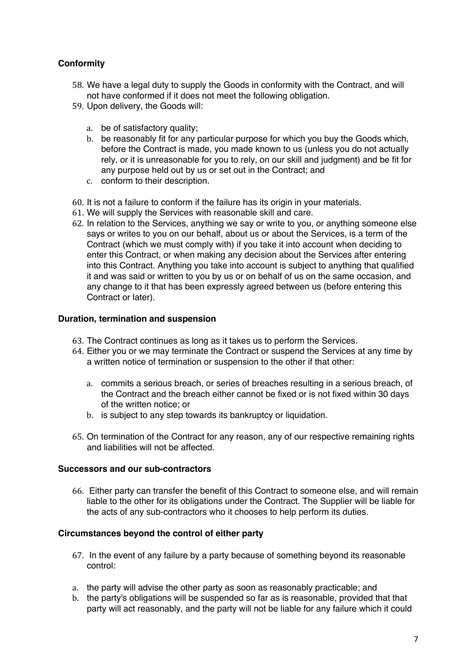## **Conformity**

- 58. We have a legal duty to supply the Goods in conformity with the Contract, and will not have conformed if it does not meet the following obligation.
- 59. Upon delivery, the Goods will:
	- a. be of satisfactory quality;
	- b. be reasonably fit for any particular purpose for which you buy the Goods which, before the Contract is made, you made known to us (unless you do not actually rely, or it is unreasonable for you to rely, on our skill and judgment) and be fit for any purpose held out by us or set out in the Contract; and
	- c. conform to their description.
- 60. It is not a failure to conform if the failure has its origin in your materials.
- 61. We will supply the Services with reasonable skill and care.
- 62. In relation to the Services, anything we say or write to you, or anything someone else says or writes to you on our behalf, about us or about the Services, is a term of the Contract (which we must comply with) if you take it into account when deciding to enter this Contract, or when making any decision about the Services after entering into this Contract. Anything you take into account is subject to anything that qualified it and was said or written to you by us or on behalf of us on the same occasion, and any change to it that has been expressly agreed between us (before entering this Contract or later).

#### **Duration, termination and suspension**

- 63. The Contract continues as long as it takes us to perform the Services.
- 64. Either you or we may terminate the Contract or suspend the Services at any time by a written notice of termination or suspension to the other if that other:
	- a. commits a serious breach, or series of breaches resulting in a serious breach, of the Contract and the breach either cannot be fixed or is not fixed within 30 days of the written notice; or
	- b. is subject to any step towards its bankruptcy or liquidation.
- 65. On termination of the Contract for any reason, any of our respective remaining rights and liabilities will not be affected.

#### **Successors and our sub-contractors**

66. Either party can transfer the benefit of this Contract to someone else, and will remain liable to the other for its obligations under the Contract. The Supplier will be liable for the acts of any sub-contractors who it chooses to help perform its duties.

#### **Circumstances beyond the control of either party**

- 67. In the event of any failure by a party because of something beyond its reasonable control:
- a. the party will advise the other party as soon as reasonably practicable; and
- b. the party's obligations will be suspended so far as is reasonable, provided that that party will act reasonably, and the party will not be liable for any failure which it could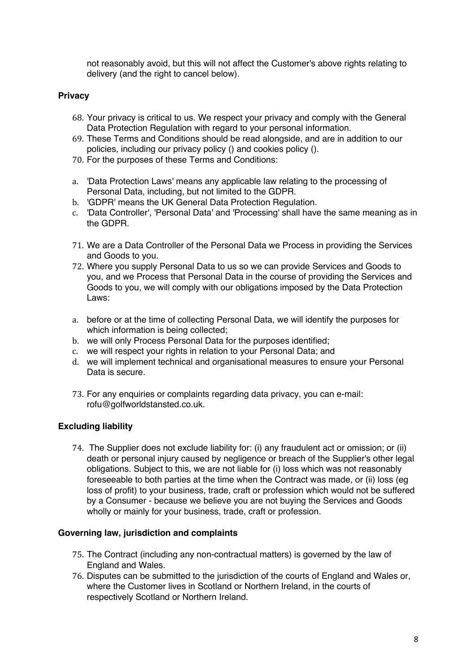not reasonably avoid, but this will not affect the Customer's above rights relating to delivery (and the right to cancel below).

#### **Privacy**

- 68. Your privacy is critical to us. We respect your privacy and comply with the General Data Protection Regulation with regard to your personal information.
- 69. These Terms and Conditions should be read alongside, and are in addition to our policies, including our privacy policy () and cookies policy ().
- 70. For the purposes of these Terms and Conditions:
- a. 'Data Protection Laws' means any applicable law relating to the processing of Personal Data, including, but not limited to the GDPR.
- b. 'GDPR' means the UK General Data Protection Regulation.
- c. 'Data Controller', 'Personal Data' and 'Processing' shall have the same meaning as in the GDPR.
- 71. We are a Data Controller of the Personal Data we Process in providing the Services and Goods to you.
- 72. Where you supply Personal Data to us so we can provide Services and Goods to you, and we Process that Personal Data in the course of providing the Services and Goods to you, we will comply with our obligations imposed by the Data Protection Laws:
- a. before or at the time of collecting Personal Data, we will identify the purposes for which information is being collected;
- b. we will only Process Personal Data for the purposes identified;
- c. we will respect your rights in relation to your Personal Data; and
- d. we will implement technical and organisational measures to ensure your Personal Data is secure.
- 73. For any enquiries or complaints regarding data privacy, you can e-mail: rofu@golfworldstansted.co.uk.

#### **Excluding liability**

74. The Supplier does not exclude liability for: (i) any fraudulent act or omission; or (ii) death or personal injury caused by negligence or breach of the Supplier's other legal obligations. Subject to this, we are not liable for (i) loss which was not reasonably foreseeable to both parties at the time when the Contract was made, or (ii) loss (eg loss of profit) to your business, trade, craft or profession which would not be suffered by a Consumer - because we believe you are not buying the Services and Goods wholly or mainly for your business, trade, craft or profession.

#### **Governing law, jurisdiction and complaints**

- 75. The Contract (including any non-contractual matters) is governed by the law of England and Wales.
- 76. Disputes can be submitted to the jurisdiction of the courts of England and Wales or, where the Customer lives in Scotland or Northern Ireland, in the courts of respectively Scotland or Northern Ireland.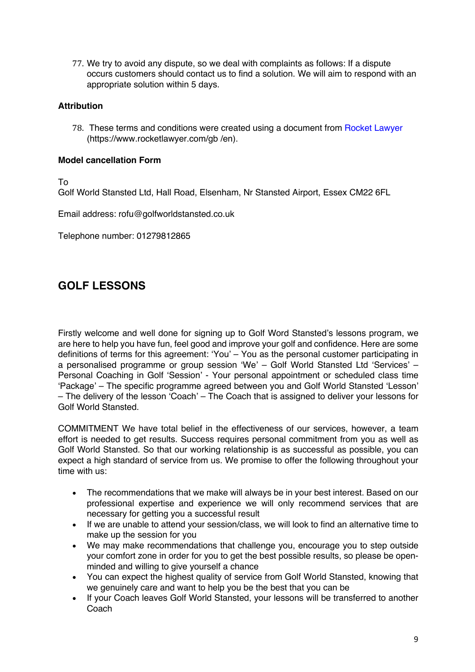77. We try to avoid any dispute, so we deal with complaints as follows: If a dispute occurs customers should contact us to find a solution. We will aim to respond with an appropriate solution within 5 days.

#### **Attribution**

78. These terms and conditions were created using a document from Rocket Lawyer (https://www.rocketlawyer.com/gb /en).

#### **Model cancellation Form**

To

Golf World Stansted Ltd, Hall Road, Elsenham, Nr Stansted Airport, Essex CM22 6FL

Email address: rofu@golfworldstansted.co.uk

Telephone number: 01279812865

## **GOLF LESSONS**

Firstly welcome and well done for signing up to Golf Word Stansted's lessons program, we are here to help you have fun, feel good and improve your golf and confidence. Here are some definitions of terms for this agreement: 'You' – You as the personal customer participating in a personalised programme or group session 'We' – Golf World Stansted Ltd 'Services' – Personal Coaching in Golf 'Session' - Your personal appointment or scheduled class time 'Package' – The specific programme agreed between you and Golf World Stansted 'Lesson' – The delivery of the lesson 'Coach' – The Coach that is assigned to deliver your lessons for Golf World Stansted.

COMMITMENT We have total belief in the effectiveness of our services, however, a team effort is needed to get results. Success requires personal commitment from you as well as Golf World Stansted. So that our working relationship is as successful as possible, you can expect a high standard of service from us. We promise to offer the following throughout your time with us:

- The recommendations that we make will always be in your best interest. Based on our professional expertise and experience we will only recommend services that are necessary for getting you a successful result
- If we are unable to attend your session/class, we will look to find an alternative time to make up the session for you
- We may make recommendations that challenge you, encourage you to step outside your comfort zone in order for you to get the best possible results, so please be openminded and willing to give yourself a chance
- You can expect the highest quality of service from Golf World Stansted, knowing that we genuinely care and want to help you be the best that you can be
- If your Coach leaves Golf World Stansted, your lessons will be transferred to another **Coach**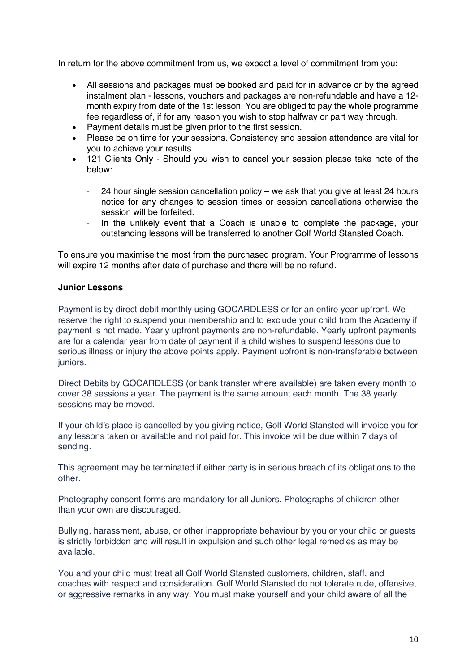In return for the above commitment from us, we expect a level of commitment from you:

- All sessions and packages must be booked and paid for in advance or by the agreed instalment plan - lessons, vouchers and packages are non-refundable and have a 12 month expiry from date of the 1st lesson. You are obliged to pay the whole programme fee regardless of, if for any reason you wish to stop halfway or part way through.
- Payment details must be given prior to the first session.
- Please be on time for your sessions. Consistency and session attendance are vital for you to achieve your results
- 121 Clients Only Should you wish to cancel your session please take note of the below:
	- $24$  hour single session cancellation policy we ask that you give at least  $24$  hours notice for any changes to session times or session cancellations otherwise the session will be forfeited.
	- In the unlikely event that a Coach is unable to complete the package, your outstanding lessons will be transferred to another Golf World Stansted Coach.

To ensure you maximise the most from the purchased program. Your Programme of lessons will expire 12 months after date of purchase and there will be no refund.

## **Junior Lessons**

Payment is by direct debit monthly using GOCARDLESS or for an entire year upfront. We reserve the right to suspend your membership and to exclude your child from the Academy if payment is not made. Yearly upfront payments are non-refundable. Yearly upfront payments are for a calendar year from date of payment if a child wishes to suspend lessons due to serious illness or injury the above points apply. Payment upfront is non-transferable between juniors.

Direct Debits by GOCARDLESS (or bank transfer where available) are taken every month to cover 38 sessions a year. The payment is the same amount each month. The 38 yearly sessions may be moved.

If your child's place is cancelled by you giving notice, Golf World Stansted will invoice you for any lessons taken or available and not paid for. This invoice will be due within 7 days of sending.

This agreement may be terminated if either party is in serious breach of its obligations to the other.

Photography consent forms are mandatory for all Juniors. Photographs of children other than your own are discouraged.

Bullying, harassment, abuse, or other inappropriate behaviour by you or your child or guests is strictly forbidden and will result in expulsion and such other legal remedies as may be available.

You and your child must treat all Golf World Stansted customers, children, staff, and coaches with respect and consideration. Golf World Stansted do not tolerate rude, offensive, or aggressive remarks in any way. You must make yourself and your child aware of all the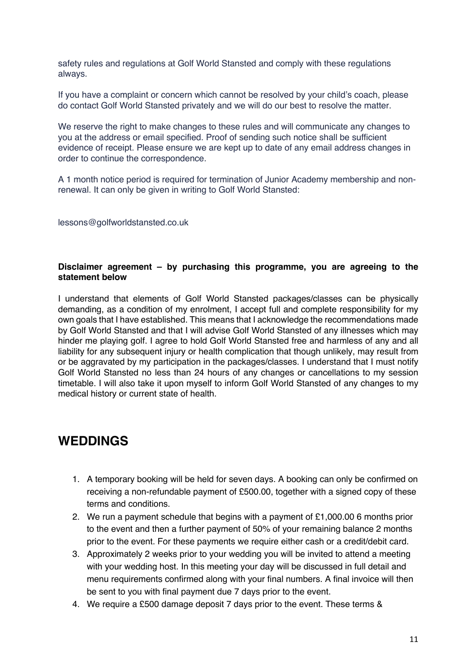safety rules and regulations at Golf World Stansted and comply with these regulations always.

If you have a complaint or concern which cannot be resolved by your child's coach, please do contact Golf World Stansted privately and we will do our best to resolve the matter.

We reserve the right to make changes to these rules and will communicate any changes to you at the address or email specified. Proof of sending such notice shall be sufficient evidence of receipt. Please ensure we are kept up to date of any email address changes in order to continue the correspondence.

A 1 month notice period is required for termination of Junior Academy membership and nonrenewal. It can only be given in writing to Golf World Stansted:

lessons@golfworldstansted.co.uk

#### **Disclaimer agreement – by purchasing this programme, you are agreeing to the statement below**

I understand that elements of Golf World Stansted packages/classes can be physically demanding, as a condition of my enrolment, I accept full and complete responsibility for my own goals that I have established. This means that I acknowledge the recommendations made by Golf World Stansted and that I will advise Golf World Stansted of any illnesses which may hinder me playing golf. I agree to hold Golf World Stansted free and harmless of any and all liability for any subsequent injury or health complication that though unlikely, may result from or be aggravated by my participation in the packages/classes. I understand that I must notify Golf World Stansted no less than 24 hours of any changes or cancellations to my session timetable. I will also take it upon myself to inform Golf World Stansted of any changes to my medical history or current state of health.

## **WEDDINGS**

- 1. A temporary booking will be held for seven days. A booking can only be confirmed on receiving a non-refundable payment of £500.00, together with a signed copy of these terms and conditions.
- 2. We run a payment schedule that begins with a payment of £1,000.00 6 months prior to the event and then a further payment of 50% of your remaining balance 2 months prior to the event. For these payments we require either cash or a credit/debit card.
- 3. Approximately 2 weeks prior to your wedding you will be invited to attend a meeting with your wedding host. In this meeting your day will be discussed in full detail and menu requirements confirmed along with your final numbers. A final invoice will then be sent to you with final payment due 7 days prior to the event.
- 4. We require a £500 damage deposit 7 days prior to the event. These terms &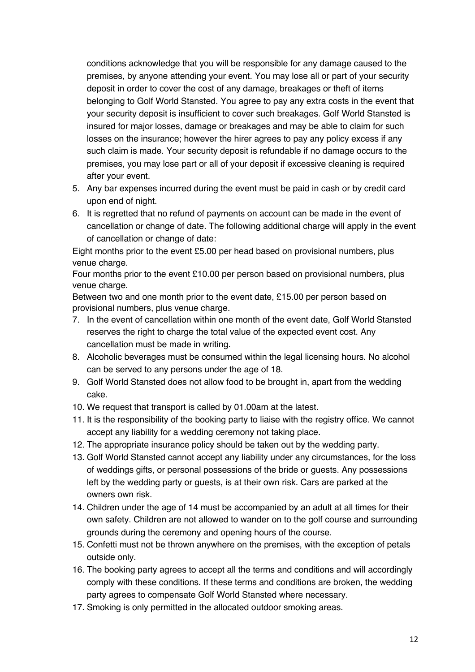conditions acknowledge that you will be responsible for any damage caused to the premises, by anyone attending your event. You may lose all or part of your security deposit in order to cover the cost of any damage, breakages or theft of items belonging to Golf World Stansted. You agree to pay any extra costs in the event that your security deposit is insufficient to cover such breakages. Golf World Stansted is insured for major losses, damage or breakages and may be able to claim for such losses on the insurance; however the hirer agrees to pay any policy excess if any such claim is made. Your security deposit is refundable if no damage occurs to the premises, you may lose part or all of your deposit if excessive cleaning is required after your event.

- 5. Any bar expenses incurred during the event must be paid in cash or by credit card upon end of night.
- 6. It is regretted that no refund of payments on account can be made in the event of cancellation or change of date. The following additional charge will apply in the event of cancellation or change of date:

Eight months prior to the event £5.00 per head based on provisional numbers, plus venue charge.

Four months prior to the event £10.00 per person based on provisional numbers, plus venue charge.

Between two and one month prior to the event date, £15.00 per person based on provisional numbers, plus venue charge.

- 7. In the event of cancellation within one month of the event date, Golf World Stansted reserves the right to charge the total value of the expected event cost. Any cancellation must be made in writing.
- 8. Alcoholic beverages must be consumed within the legal licensing hours. No alcohol can be served to any persons under the age of 18.
- 9. Golf World Stansted does not allow food to be brought in, apart from the wedding cake.
- 10. We request that transport is called by 01.00am at the latest.
- 11. It is the responsibility of the booking party to liaise with the registry office. We cannot accept any liability for a wedding ceremony not taking place.
- 12. The appropriate insurance policy should be taken out by the wedding party.
- 13. Golf World Stansted cannot accept any liability under any circumstances, for the loss of weddings gifts, or personal possessions of the bride or guests. Any possessions left by the wedding party or guests, is at their own risk. Cars are parked at the owners own risk.
- 14. Children under the age of 14 must be accompanied by an adult at all times for their own safety. Children are not allowed to wander on to the golf course and surrounding grounds during the ceremony and opening hours of the course.
- 15. Confetti must not be thrown anywhere on the premises, with the exception of petals outside only.
- 16. The booking party agrees to accept all the terms and conditions and will accordingly comply with these conditions. If these terms and conditions are broken, the wedding party agrees to compensate Golf World Stansted where necessary.
- 17. Smoking is only permitted in the allocated outdoor smoking areas.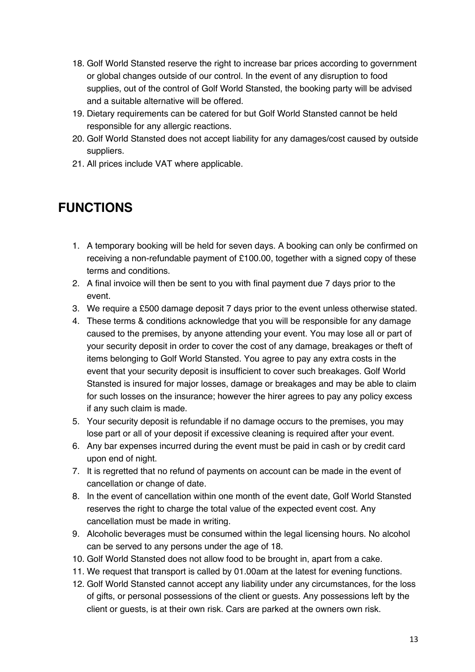- 18. Golf World Stansted reserve the right to increase bar prices according to government or global changes outside of our control. In the event of any disruption to food supplies, out of the control of Golf World Stansted, the booking party will be advised and a suitable alternative will be offered.
- 19. Dietary requirements can be catered for but Golf World Stansted cannot be held responsible for any allergic reactions.
- 20. Golf World Stansted does not accept liability for any damages/cost caused by outside suppliers.
- 21. All prices include VAT where applicable.

# **FUNCTIONS**

- 1. A temporary booking will be held for seven days. A booking can only be confirmed on receiving a non-refundable payment of £100.00, together with a signed copy of these terms and conditions.
- 2. A final invoice will then be sent to you with final payment due 7 days prior to the event.
- 3. We require a £500 damage deposit 7 days prior to the event unless otherwise stated.
- 4. These terms & conditions acknowledge that you will be responsible for any damage caused to the premises, by anyone attending your event. You may lose all or part of your security deposit in order to cover the cost of any damage, breakages or theft of items belonging to Golf World Stansted. You agree to pay any extra costs in the event that your security deposit is insufficient to cover such breakages. Golf World Stansted is insured for major losses, damage or breakages and may be able to claim for such losses on the insurance; however the hirer agrees to pay any policy excess if any such claim is made.
- 5. Your security deposit is refundable if no damage occurs to the premises, you may lose part or all of your deposit if excessive cleaning is required after your event.
- 6. Any bar expenses incurred during the event must be paid in cash or by credit card upon end of night.
- 7. It is regretted that no refund of payments on account can be made in the event of cancellation or change of date.
- 8. In the event of cancellation within one month of the event date, Golf World Stansted reserves the right to charge the total value of the expected event cost. Any cancellation must be made in writing.
- 9. Alcoholic beverages must be consumed within the legal licensing hours. No alcohol can be served to any persons under the age of 18.
- 10. Golf World Stansted does not allow food to be brought in, apart from a cake.
- 11. We request that transport is called by 01.00am at the latest for evening functions.
- 12. Golf World Stansted cannot accept any liability under any circumstances, for the loss of gifts, or personal possessions of the client or guests. Any possessions left by the client or guests, is at their own risk. Cars are parked at the owners own risk.